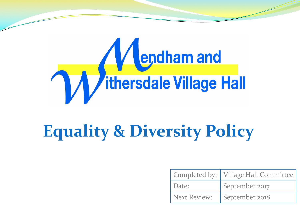

# **Equality & Diversity Policy**

|              | Completed by:   Village Hall Committee |
|--------------|----------------------------------------|
| Date:        | September 2017                         |
| Next Review: | September 2018                         |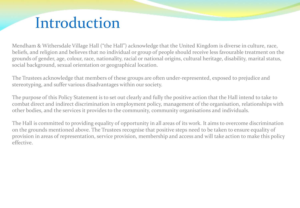## Introduction

Mendham & Withersdale Village Hall ("the Hall") acknowledge that the United Kingdom is diverse in culture, race, beliefs, and religion and believes that no individual or group of people should receive less favourable treatment on the grounds of gender, age, colour, race, nationality, racial or national origins, cultural heritage, disability, marital status, social background, sexual orientation or geographical location.

The Trustees acknowledge that members of these groups are often under-represented, exposed to prejudice and stereotyping, and suffer various disadvantages within our society.

The purpose of this Policy Statement is to set out clearly and fully the positive action that the Hall intend to take to combat direct and indirect discrimination in employment policy, management of the organisation, relationships with other bodies, and the services it provides to the community, community organisations and individuals.

The Hall is committed to providing equality of opportunity in all areas of its work. It aims to overcome discrimination on the grounds mentioned above. The Trustees recognise that positive steps need to be taken to ensure equality of provision in areas of representation, service provision, membership and access and will take action to make this policy effective.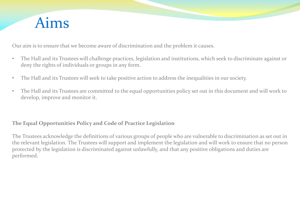

Our aim is to ensure that we become aware of discrimination and the problem it causes.

- The Hall and its Trustees will challenge practices, legislation and institutions, which seek to discriminate against or deny the rights of individuals or groups in any form.
- The Hall and its Trustees will seek to take positive action to address the inequalities in our society.
- The Hall and its Trustees are committed to the equal opportunities policy set out in this document and will work to develop, improve and monitor it.

### **The Equal Opportunities Policy and Code of Practice Legislation**

The Trustees acknowledge the definitions of various groups of people who are vulnerable to discrimination as set out in the relevant legislation. The Trustees will support and implement the legislation and will work to ensure that no person protected by the legislation is discriminated against unlawfully, and that any positive obligations and duties are performed.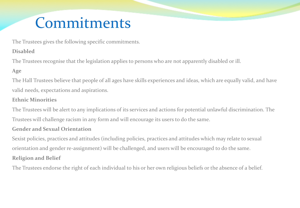# Commitments

The Trustees gives the following specific commitments.

### **Disabled**

The Trustees recognise that the legislation applies to persons who are not apparently disabled or ill.

### **Age**

The Hall Trustees believe that people of all ages have skills experiences and ideas, which are equally valid, and have valid needs, expectations and aspirations.

#### **Ethnic Minorities**

The Trustees will be alert to any implications of its services and actions for potential unlawful discrimination. The Trustees will challenge racism in any form and will encourage its users to do the same.

#### **Gender and Sexual Orientation**

Sexist policies, practices and attitudes (including policies, practices and attitudes which may relate to sexual orientation and gender re-assignment) will be challenged, and users will be encouraged to do the same. **Religion and Belief** 

The Trustees endorse the right of each individual to his or her own religious beliefs or the absence of a belief.